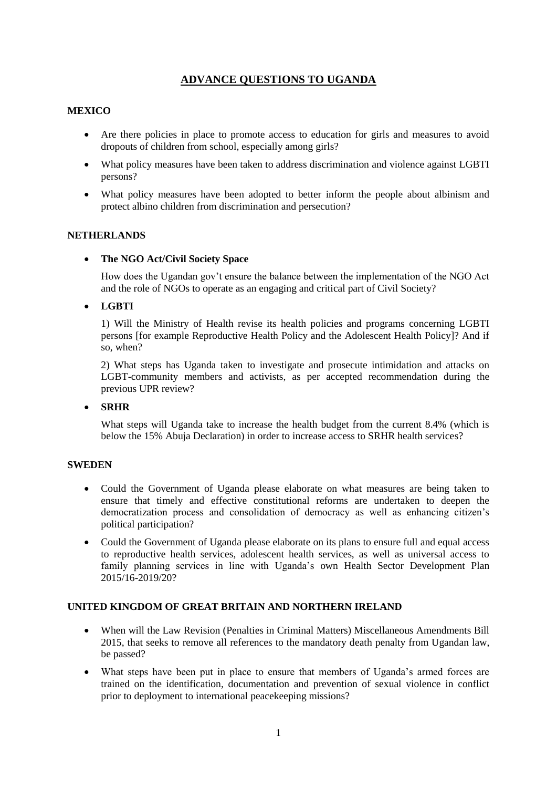# **ADVANCE QUESTIONS TO UGANDA**

## **MEXICO**

- Are there policies in place to promote access to education for girls and measures to avoid dropouts of children from school, especially among girls?
- What policy measures have been taken to address discrimination and violence against LGBTI persons?
- What policy measures have been adopted to better inform the people about albinism and protect albino children from discrimination and persecution?

#### **NETHERLANDS**

#### **The NGO Act/Civil Society Space**

How does the Ugandan gov't ensure the balance between the implementation of the NGO Act and the role of NGOs to operate as an engaging and critical part of Civil Society?

#### **LGBTI**

1) Will the Ministry of Health revise its health policies and programs concerning LGBTI persons [for example Reproductive Health Policy and the Adolescent Health Policy]? And if so, when?

2) What steps has Uganda taken to investigate and prosecute intimidation and attacks on LGBT-community members and activists, as per accepted recommendation during the previous UPR review?

#### **SRHR**

What steps will Uganda take to increase the health budget from the current 8.4% (which is below the 15% Abuja Declaration) in order to increase access to SRHR health services?

### **SWEDEN**

- Could the Government of Uganda please elaborate on what measures are being taken to ensure that timely and effective constitutional reforms are undertaken to deepen the democratization process and consolidation of democracy as well as enhancing citizen's political participation?
- Could the Government of Uganda please elaborate on its plans to ensure full and equal access to reproductive health services, adolescent health services, as well as universal access to family planning services in line with Uganda's own Health Sector Development Plan 2015/16-2019/20?

#### **UNITED KINGDOM OF GREAT BRITAIN AND NORTHERN IRELAND**

- When will the Law Revision (Penalties in Criminal Matters) Miscellaneous Amendments Bill 2015, that seeks to remove all references to the mandatory death penalty from Ugandan law, be passed?
- What steps have been put in place to ensure that members of Uganda's armed forces are trained on the identification, documentation and prevention of sexual violence in conflict prior to deployment to international peacekeeping missions?